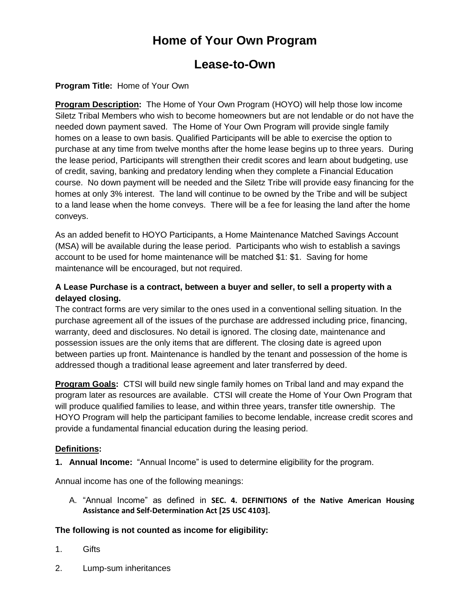# **Home of Your Own Program**

# **Lease-to-Own**

## **Program Title:** Home of Your Own

**Program Description:** The Home of Your Own Program (HOYO) will help those low income Siletz Tribal Members who wish to become homeowners but are not lendable or do not have the needed down payment saved. The Home of Your Own Program will provide single family homes on a lease to own basis. Qualified Participants will be able to exercise the option to purchase at any time from twelve months after the home lease begins up to three years. During the lease period, Participants will strengthen their credit scores and learn about budgeting, use of credit, saving, banking and predatory lending when they complete a Financial Education course. No down payment will be needed and the Siletz Tribe will provide easy financing for the homes at only 3% interest. The land will continue to be owned by the Tribe and will be subject to a land lease when the home conveys. There will be a fee for leasing the land after the home conveys.

As an added benefit to HOYO Participants, a Home Maintenance Matched Savings Account (MSA) will be available during the lease period. Participants who wish to establish a savings account to be used for home maintenance will be matched \$1: \$1. Saving for home maintenance will be encouraged, but not required.

## **A Lease Purchase is a contract, between a buyer and seller, to sell a property with a delayed closing.**

The contract forms are very similar to the ones used in a conventional selling situation. In the purchase agreement all of the issues of the purchase are addressed including price, financing, warranty, deed and disclosures. No detail is ignored. The closing date, maintenance and possession issues are the only items that are different. The closing date is agreed upon between parties up front. Maintenance is handled by the tenant and possession of the home is addressed though a traditional lease agreement and later transferred by deed.

**Program Goals:** CTSI will build new single family homes on Tribal land and may expand the program later as resources are available. CTSI will create the Home of Your Own Program that will produce qualified families to lease, and within three years, transfer title ownership. The HOYO Program will help the participant families to become lendable, increase credit scores and provide a fundamental financial education during the leasing period.

## **Definitions:**

**1. Annual Income:** "Annual Income" is used to determine eligibility for the program.

Annual income has one of the following meanings:

A. "Annual Income" as defined in **SEC. 4. DEFINITIONS of the Native American Housing Assistance and Self-Determination Act [25 USC 4103].** 

#### **The following is not counted as income for eligibility:**

- 1. Gifts
- 2. Lump-sum inheritances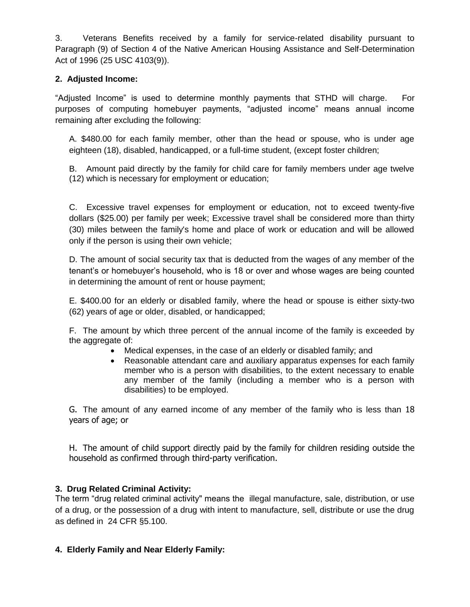3. Veterans Benefits received by a family for service-related disability pursuant to Paragraph (9) of Section 4 of the Native American Housing Assistance and Self-Determination Act of 1996 (25 USC 4103(9)).

### **2. Adjusted Income:**

"Adjusted Income" is used to determine monthly payments that STHD will charge.For purposes of computing homebuyer payments, "adjusted income" means annual income remaining after excluding the following:

A. \$480.00 for each family member, other than the head or spouse, who is under age eighteen (18), disabled, handicapped, or a full-time student, (except foster children;

B. Amount paid directly by the family for child care for family members under age twelve (12) which is necessary for employment or education;

C. Excessive travel expenses for employment or education, not to exceed twenty-five dollars (\$25.00) per family per week; Excessive travel shall be considered more than thirty (30) miles between the family's home and place of work or education and will be allowed only if the person is using their own vehicle;

D. The amount of social security tax that is deducted from the wages of any member of the tenant's or homebuyer's household, who is 18 or over and whose wages are being counted in determining the amount of rent or house payment;

E. \$400.00 for an elderly or disabled family, where the head or spouse is either sixty-two (62) years of age or older, disabled, or handicapped;

F. The amount by which three percent of the annual income of the family is exceeded by the aggregate of:

- Medical expenses, in the case of an elderly or disabled family; and
- Reasonable attendant care and auxiliary apparatus expenses for each family member who is a person with disabilities, to the extent necessary to enable any member of the family (including a member who is a person with disabilities) to be employed.

G. The amount of any earned income of any member of the family who is less than 18 years of age; or

H. The amount of child support directly paid by the family for children residing outside the household as confirmed through third-party verification.

## **3. Drug Related Criminal Activity:**

The term "drug related criminal activity" means the illegal manufacture, sale, distribution, or use of a drug, or the possession of a drug with intent to manufacture, sell, distribute or use the drug as defined in 24 CFR §5.100.

#### **4. Elderly Family and Near Elderly Family:**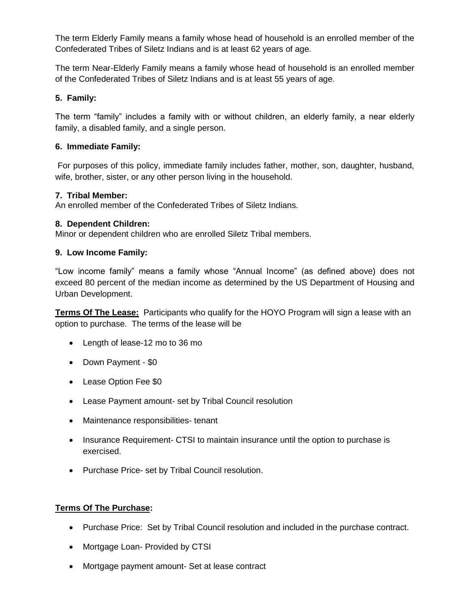The term Elderly Family means a family whose head of household is an enrolled member of the Confederated Tribes of Siletz Indians and is at least 62 years of age.

The term Near-Elderly Family means a family whose head of household is an enrolled member of the Confederated Tribes of Siletz Indians and is at least 55 years of age.

### **5. Family:**

The term "family" includes a family with or without children, an elderly family, a near elderly family, a disabled family, and a single person.

#### **6. Immediate Family:**

For purposes of this policy, immediate family includes father, mother, son, daughter, husband, wife, brother, sister, or any other person living in the household.

#### **7. Tribal Member:**

An enrolled member of the Confederated Tribes of Siletz Indians.

### **8. Dependent Children:**

Minor or dependent children who are enrolled Siletz Tribal members.

#### **9. Low Income Family:**

"Low income family" means a family whose "Annual Income" (as defined above) does not exceed 80 percent of the median income as determined by the US Department of Housing and Urban Development.

**Terms Of The Lease:** Participants who qualify for the HOYO Program will sign a lease with an option to purchase. The terms of the lease will be

- Length of lease-12 mo to 36 mo
- Down Payment \$0
- Lease Option Fee \$0
- Lease Payment amount- set by Tribal Council resolution
- Maintenance responsibilities-tenant
- Insurance Requirement- CTSI to maintain insurance until the option to purchase is exercised.
- Purchase Price- set by Tribal Council resolution.

## **Terms Of The Purchase:**

- Purchase Price: Set by Tribal Council resolution and included in the purchase contract.
- Mortgage Loan- Provided by CTSI
- Mortgage payment amount- Set at lease contract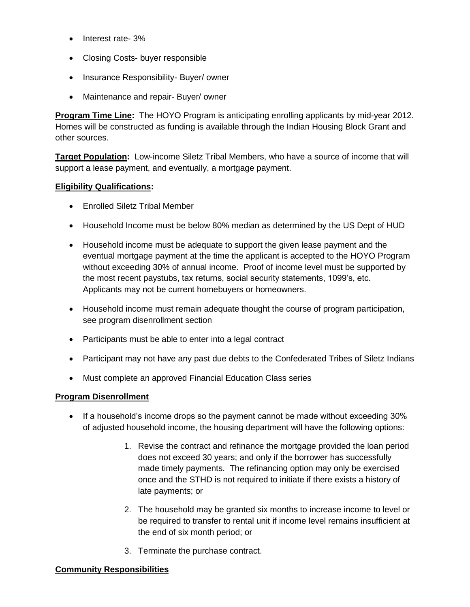- Interest rate- 3%
- Closing Costs- buyer responsible
- Insurance Responsibility- Buyer/ owner
- Maintenance and repair- Buyer/ owner

**Program Time Line:** The HOYO Program is anticipating enrolling applicants by mid-year 2012. Homes will be constructed as funding is available through the Indian Housing Block Grant and other sources.

**Target Population:** Low-income Siletz Tribal Members, who have a source of income that will support a lease payment, and eventually, a mortgage payment.

### **Eligibility Qualifications:**

- Enrolled Siletz Tribal Member
- Household Income must be below 80% median as determined by the US Dept of HUD
- Household income must be adequate to support the given lease payment and the eventual mortgage payment at the time the applicant is accepted to the HOYO Program without exceeding 30% of annual income. Proof of income level must be supported by the most recent paystubs, tax returns, social security statements, 1099's, etc. Applicants may not be current homebuyers or homeowners.
- Household income must remain adequate thought the course of program participation, see program disenrollment section
- Participants must be able to enter into a legal contract
- Participant may not have any past due debts to the Confederated Tribes of Siletz Indians
- Must complete an approved Financial Education Class series

## **Program Disenrollment**

- If a household's income drops so the payment cannot be made without exceeding 30% of adjusted household income, the housing department will have the following options:
	- 1. Revise the contract and refinance the mortgage provided the loan period does not exceed 30 years; and only if the borrower has successfully made timely payments. The refinancing option may only be exercised once and the STHD is not required to initiate if there exists a history of late payments; or
	- 2. The household may be granted six months to increase income to level or be required to transfer to rental unit if income level remains insufficient at the end of six month period; or
	- 3. Terminate the purchase contract.

#### **Community Responsibilities**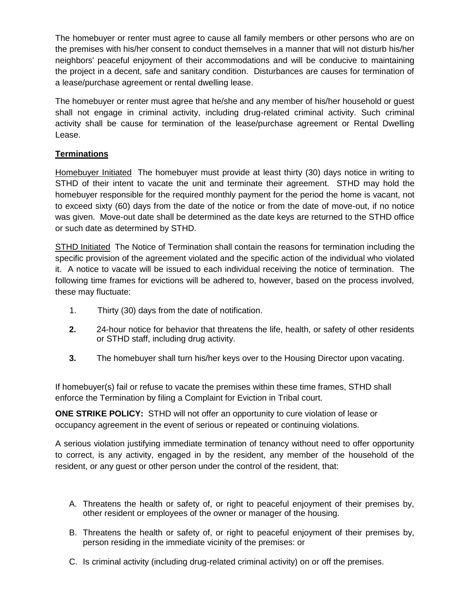The homebuyer or renter must agree to cause all family members or other persons who are on the premises with his/her consent to conduct themselves in a manner that will not disturb his/her neighbors' peaceful enjoyment of their accommodations and will be conducive to maintaining the project in a decent, safe and sanitary condition. Disturbances are causes for termination of a lease/purchase agreement or rental dwelling lease.

The homebuyer or renter must agree that he/she and any member of his/her household or guest shall not engage in criminal activity, including drug-related criminal activity. Such criminal activity shall be cause for termination of the lease/purchase agreement or Rental Dwelling Lease.

## **Terminations**

Homebuyer Initiated The homebuyer must provide at least thirty (30) days notice in writing to STHD of their intent to vacate the unit and terminate their agreement. STHD may hold the homebuyer responsible for the required monthly payment for the period the home is vacant, not to exceed sixty (60) days from the date of the notice or from the date of move-out, if no notice was given. Move-out date shall be determined as the date keys are returned to the STHD office or such date as determined by STHD.

STHD Initiated The Notice of Termination shall contain the reasons for termination including the specific provision of the agreement violated and the specific action of the individual who violated it. A notice to vacate will be issued to each individual receiving the notice of termination. The following time frames for evictions will be adhered to, however, based on the process involved, these may fluctuate:  $\blacksquare$ 

- 1. Thirty (30) days from the date of notification.
- **2.** 24-hour notice for behavior that threatens the life, health, or safety of other residents or STHD staff, including drug activity.
- **3.** The homebuyer shall turn his/her keys over to the Housing Director upon vacating.

If homebuyer(s) fail or refuse to vacate the premises within these time frames, STHD shall enforce the Termination by filing a Complaint for Eviction in Tribal court.

**ONE STRIKE POLICY:** STHD will not offer an opportunity to cure violation of lease or occupancy agreement in the event of serious or repeated or continuing violations.

A serious violation justifying immediate termination of tenancy without need to offer opportunity to correct, is any activity, engaged in by the resident, any member of the household of the resident, or any guest or other person under the control of the resident, that:

- A. Threatens the health or safety of, or right to peaceful enjoyment of their premises by, other resident or employees of the owner or manager of the housing.
- B. Threatens the health or safety of, or right to peaceful enjoyment of their premises by, person residing in the immediate vicinity of the premises: or
- C. Is criminal activity (including drug-related criminal activity) on or off the premises.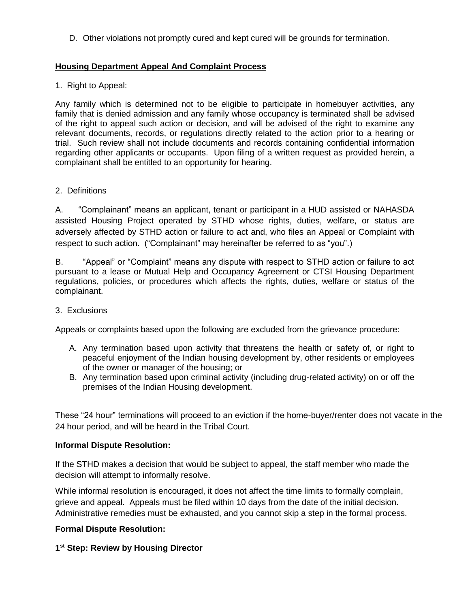D. Other violations not promptly cured and kept cured will be grounds for termination.

## **Housing Department Appeal And Complaint Process**

1. Right to Appeal:

Any family which is determined not to be eligible to participate in homebuyer activities, any family that is denied admission and any family whose occupancy is terminated shall be advised of the right to appeal such action or decision, and will be advised of the right to examine any relevant documents, records, or regulations directly related to the action prior to a hearing or trial. Such review shall not include documents and records containing confidential information regarding other applicants or occupants. Upon filing of a written request as provided herein, a complainant shall be entitled to an opportunity for hearing.

### 2. Definitions

A. "Complainant" means an applicant, tenant or participant in a HUD assisted or NAHASDA assisted Housing Project operated by STHD whose rights, duties, welfare, or status are adversely affected by STHD action or failure to act and, who files an Appeal or Complaint with respect to such action. ("Complainant" may hereinafter be referred to as "you".)

B. "Appeal" or "Complaint" means any dispute with respect to STHD action or failure to act pursuant to a lease or Mutual Help and Occupancy Agreement or CTSI Housing Department regulations, policies, or procedures which affects the rights, duties, welfare or status of the complainant.

#### 3. Exclusions

Appeals or complaints based upon the following are excluded from the grievance procedure:

- A. Any termination based upon activity that threatens the health or safety of, or right to peaceful enjoyment of the Indian housing development by, other residents or employees of the owner or manager of the housing; or
- B. Any termination based upon criminal activity (including drug-related activity) on or off the premises of the Indian Housing development.

These "24 hour" terminations will proceed to an eviction if the home-buyer/renter does not vacate in the 24 hour period, and will be heard in the Tribal Court.

#### **Informal Dispute Resolution:**

If the STHD makes a decision that would be subject to appeal, the staff member who made the decision will attempt to informally resolve.

While informal resolution is encouraged, it does not affect the time limits to formally complain, grieve and appeal. Appeals must be filed within 10 days from the date of the initial decision. Administrative remedies must be exhausted, and you cannot skip a step in the formal process.

## **Formal Dispute Resolution:**

#### **1 st Step: Review by Housing Director**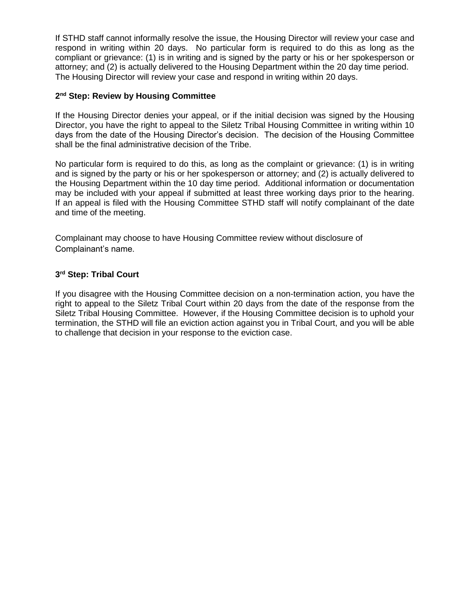If STHD staff cannot informally resolve the issue, the Housing Director will review your case and respond in writing within 20 days. No particular form is required to do this as long as the compliant or grievance: (1) is in writing and is signed by the party or his or her spokesperson or attorney; and (2) is actually delivered to the Housing Department within the 20 day time period. The Housing Director will review your case and respond in writing within 20 days.

#### **2 nd Step: Review by Housing Committee**

If the Housing Director denies your appeal, or if the initial decision was signed by the Housing Director, you have the right to appeal to the Siletz Tribal Housing Committee in writing within 10 days from the date of the Housing Director's decision. The decision of the Housing Committee shall be the final administrative decision of the Tribe.

No particular form is required to do this, as long as the complaint or grievance: (1) is in writing and is signed by the party or his or her spokesperson or attorney; and (2) is actually delivered to the Housing Department within the 10 day time period. Additional information or documentation may be included with your appeal if submitted at least three working days prior to the hearing. If an appeal is filed with the Housing Committee STHD staff will notify complainant of the date and time of the meeting.

Complainant may choose to have Housing Committee review without disclosure of Complainant's name.

#### **3 rd Step: Tribal Court**

If you disagree with the Housing Committee decision on a non-termination action, you have the right to appeal to the Siletz Tribal Court within 20 days from the date of the response from the Siletz Tribal Housing Committee. However, if the Housing Committee decision is to uphold your termination, the STHD will file an eviction action against you in Tribal Court, and you will be able to challenge that decision in your response to the eviction case.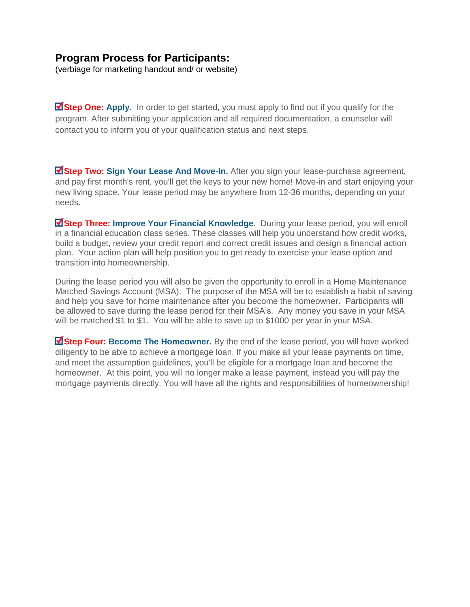# **Program Process for Participants:**

(verbiage for marketing handout and/ or website)

**Step One: [Apply.](http://www.communityempower.com/lto/Consumer_Registration_Form_62011.pdf)** In order to get started, you must apply to find out if you qualify for the program. After submitting your application and all required documentation, a counselor will contact you to inform you of your qualification status and next steps.

**Extep Two: Sign Your Lease And Move-In.** After you sign your lease-purchase agreement, and pay first month's rent, you'll get the keys to your new home! Move-in and start enjoying your new living space. Your lease period may be anywhere from 12-36 months, depending on your needs.

**Extep Three: Improve Your Financial Knowledge.** During your lease period, you will enroll in a financial education class series. These classes will help you understand how credit works, build a budget, review your credit report and correct credit issues and design a financial action plan. Your action plan will help position you to get ready to exercise your lease option and transition into homeownership.

During the lease period you will also be given the opportunity to enroll in a Home Maintenance Matched Savings Account (MSA). The purpose of the MSA will be to establish a habit of saving and help you save for home maintenance after you become the homeowner. Participants will be allowed to save during the lease period for their MSA's. Any money you save in your MSA will be matched \$1 to \$1. You will be able to save up to \$1000 per year in your MSA.

**Extep Four: Become The Homeowner.** By the end of the lease period, you will have worked diligently to be able to achieve a mortgage loan. If you make all your lease payments on time, and meet the assumption guidelines, you'll be eligible for a mortgage loan and become the homeowner. At this point, you will no longer make a lease payment, instead you will pay the mortgage payments directly. You will have all the rights and responsibilities of homeownership!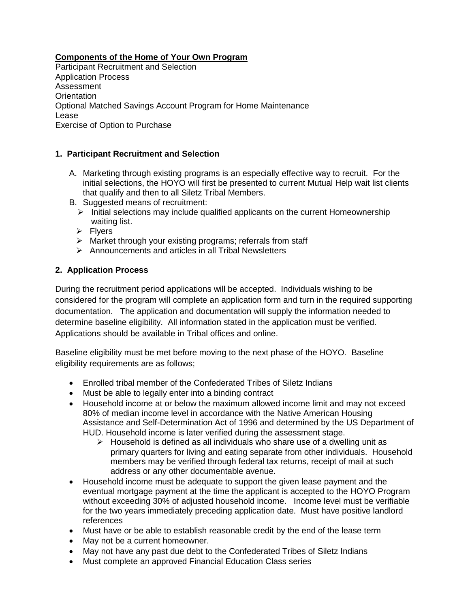**Components of the Home of Your Own Program**

Participant Recruitment and Selection Application Process Assessment **Orientation** Optional Matched Savings Account Program for Home Maintenance Lease Exercise of Option to Purchase

## **1. Participant Recruitment and Selection**

- A. Marketing through existing programs is an especially effective way to recruit. For the initial selections, the HOYO will first be presented to current Mutual Help wait list clients that qualify and then to all Siletz Tribal Members.
- B. Suggested means of recruitment:
	- $\triangleright$  Initial selections may include qualified applicants on the current Homeownership waiting list.
	- $\triangleright$  Flyers
	- $\triangleright$  Market through your existing programs; referrals from staff
	- $\triangleright$  Announcements and articles in all Tribal Newsletters

## **2. Application Process**

During the recruitment period applications will be accepted. Individuals wishing to be considered for the program will complete an application form and turn in the required supporting documentation. The application and documentation will supply the information needed to determine baseline eligibility. All information stated in the application must be verified. Applications should be available in Tribal offices and online.

Baseline eligibility must be met before moving to the next phase of the HOYO. Baseline eligibility requirements are as follows;

- Enrolled tribal member of the Confederated Tribes of Siletz Indians
- Must be able to legally enter into a binding contract
- Household income at or below the maximum allowed income limit and may not exceed 80% of median income level in accordance with the Native American Housing Assistance and Self-Determination Act of 1996 and determined by the US Department of HUD. Household income is later verified during the assessment stage.
	- $\triangleright$  Household is defined as all individuals who share use of a dwelling unit as primary quarters for living and eating separate from other individuals. Household members may be verified through federal tax returns, receipt of mail at such address or any other documentable avenue.
- Household income must be adequate to support the given lease payment and the eventual mortgage payment at the time the applicant is accepted to the HOYO Program without exceeding 30% of adjusted household income. Income level must be verifiable for the two years immediately preceding application date. Must have positive landlord references
- Must have or be able to establish reasonable credit by the end of the lease term
- May not be a current homeowner.
- May not have any past due debt to the Confederated Tribes of Siletz Indians
- Must complete an approved Financial Education Class series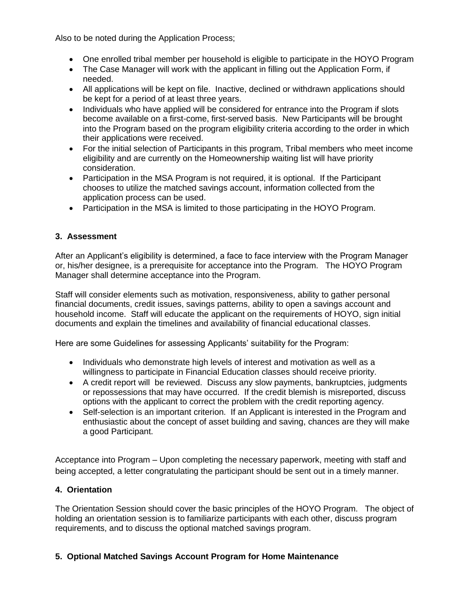Also to be noted during the Application Process;

- One enrolled tribal member per household is eligible to participate in the HOYO Program
- The Case Manager will work with the applicant in filling out the Application Form, if needed.
- All applications will be kept on file. Inactive, declined or withdrawn applications should be kept for a period of at least three years.
- Individuals who have applied will be considered for entrance into the Program if slots become available on a first-come, first-served basis. New Participants will be brought into the Program based on the program eligibility criteria according to the order in which their applications were received.
- For the initial selection of Participants in this program, Tribal members who meet income eligibility and are currently on the Homeownership waiting list will have priority consideration.
- Participation in the MSA Program is not required, it is optional. If the Participant chooses to utilize the matched savings account, information collected from the application process can be used.
- Participation in the MSA is limited to those participating in the HOYO Program.

## **3. Assessment**

After an Applicant's eligibility is determined, a face to face interview with the Program Manager or, his/her designee, is a prerequisite for acceptance into the Program. The HOYO Program Manager shall determine acceptance into the Program.

Staff will consider elements such as motivation, responsiveness, ability to gather personal financial documents, credit issues, savings patterns, ability to open a savings account and household income. Staff will educate the applicant on the requirements of HOYO, sign initial documents and explain the timelines and availability of financial educational classes.

Here are some Guidelines for assessing Applicants' suitability for the Program:

- Individuals who demonstrate high levels of interest and motivation as well as a willingness to participate in Financial Education classes should receive priority.
- A credit report will be reviewed. Discuss any slow payments, bankruptcies, judgments or repossessions that may have occurred. If the credit blemish is misreported, discuss options with the applicant to correct the problem with the credit reporting agency.
- Self-selection is an important criterion. If an Applicant is interested in the Program and enthusiastic about the concept of asset building and saving, chances are they will make a good Participant.

Acceptance into Program – Upon completing the necessary paperwork, meeting with staff and being accepted, a letter congratulating the participant should be sent out in a timely manner.

## **4. Orientation**

The Orientation Session should cover the basic principles of the HOYO Program. The object of holding an orientation session is to familiarize participants with each other, discuss program requirements, and to discuss the optional matched savings program.

## **5. Optional Matched Savings Account Program for Home Maintenance**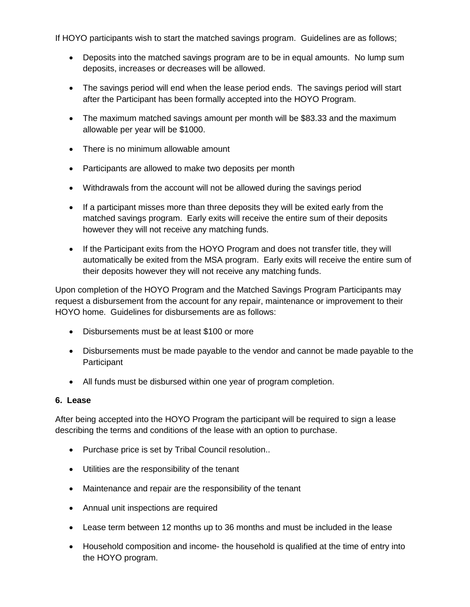If HOYO participants wish to start the matched savings program. Guidelines are as follows;

- Deposits into the matched savings program are to be in equal amounts. No lump sum deposits, increases or decreases will be allowed.
- The savings period will end when the lease period ends. The savings period will start after the Participant has been formally accepted into the HOYO Program.
- The maximum matched savings amount per month will be \$83.33 and the maximum allowable per year will be \$1000.
- There is no minimum allowable amount
- Participants are allowed to make two deposits per month
- Withdrawals from the account will not be allowed during the savings period
- If a participant misses more than three deposits they will be exited early from the matched savings program. Early exits will receive the entire sum of their deposits however they will not receive any matching funds.
- If the Participant exits from the HOYO Program and does not transfer title, they will automatically be exited from the MSA program. Early exits will receive the entire sum of their deposits however they will not receive any matching funds.

Upon completion of the HOYO Program and the Matched Savings Program Participants may request a disbursement from the account for any repair, maintenance or improvement to their HOYO home. Guidelines for disbursements are as follows:

- Disbursements must be at least \$100 or more
- Disbursements must be made payable to the vendor and cannot be made payable to the **Participant**
- All funds must be disbursed within one year of program completion.

#### **6. Lease**

After being accepted into the HOYO Program the participant will be required to sign a lease describing the terms and conditions of the lease with an option to purchase.

- Purchase price is set by Tribal Council resolution..
- Utilities are the responsibility of the tenant
- Maintenance and repair are the responsibility of the tenant
- Annual unit inspections are required
- Lease term between 12 months up to 36 months and must be included in the lease
- Household composition and income- the household is qualified at the time of entry into the HOYO program.